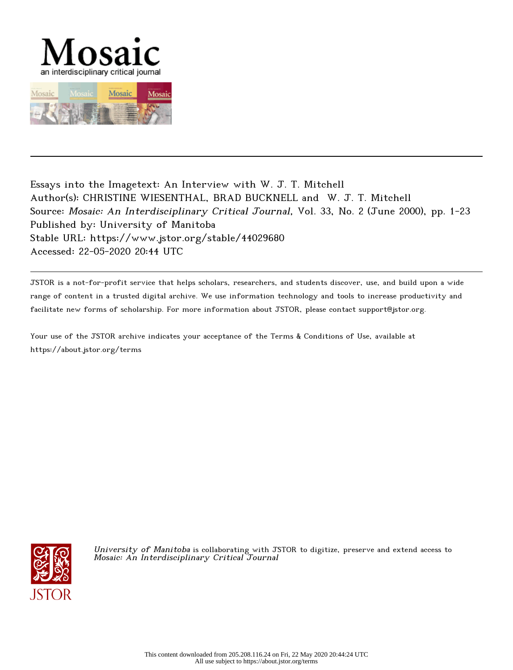



Essays into the Imagetext: An Interview with W. J. T. Mitchell Author(s): CHRISTINE WIESENTHAL, BRAD BUCKNELL and W. J. T. Mitchell Source: Mosaic: An Interdisciplinary Critical Journal, Vol. 33, No. 2 (June 2000), pp. 1-23 Published by: University of Manitoba Stable URL: https://www.jstor.org/stable/44029680 Accessed: 22-05-2020 20:44 UTC

JSTOR is a not-for-profit service that helps scholars, researchers, and students discover, use, and build upon a wide range of content in a trusted digital archive. We use information technology and tools to increase productivity and facilitate new forms of scholarship. For more information about JSTOR, please contact support@jstor.org.

Your use of the JSTOR archive indicates your acceptance of the Terms & Conditions of Use, available at https://about.jstor.org/terms



University of Manitoba is collaborating with JSTOR to digitize, preserve and extend access to Mosaic: An Interdisciplinary Critical Journal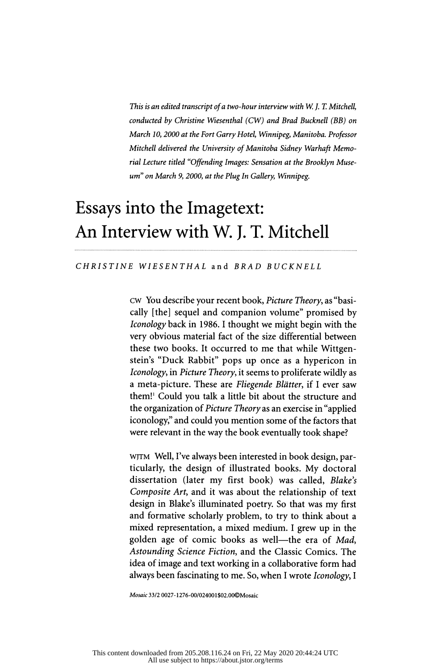This is an edited transcript of a two-hour interview with W.J.T. Mitchell conducted by Christine Wiesenthal (CW) and Brad Bucknell (BB) on March 10, 2000 at the Fort Garry Hotel, Winnipeg, Manitoba. Professor Mitchell delivered the University of Manitoba Sidney Warhaft Memo rial Lecture titled "Offending Images: Sensation at the Brooklyn Museum" on March 9, 2000, at the Plug In Gallery, Winnipeg.

# Essays into the Imagetext: An Interview with W. J. T. Mitchell

#### CHRISTINE WIESENTHAL and BRAD BUCKNELL

 cw You describe your recent book, Picture Theory , as "basi cally [the] sequel and companion volume" promised by Iconology back in 1986. 1 thought we might begin with the very obvious material fact of the size differential between these two books. It occurred to me that while Wittgen stein's "Duck Rabbit" pops up once as a hypericon in Iconology, in Picture Theory, it seems to proliferate wildly as a meta-picture. These are Fliegende Blätter, if I ever saw them!1 Could you talk a little bit about the structure and the organization of Picture Theory as an exercise in "applied iconology," and could you mention some of the factors that were relevant in the way the book eventually took shape?

WJTM Well, I've always been interested in book design, par ticularly, the design of illustrated books. My doctoral dissertation (later my first book) was called, Blake's Composite Art, and it was about the relationship of text design in Blake's illuminated poetry. So that was my first and formative scholarly problem, to try to think about a mixed representation, a mixed medium. I grew up in the golden age of comic books as well-the era of Mad, Astounding Science Fiction, and the Classic Comics. The idea of image and text working in a collaborative form had always been fascinating to me. So, when I wrote *Iconology*, I

Mosaic 33/2 0027-1276-00/024001\$02.00©Mosaic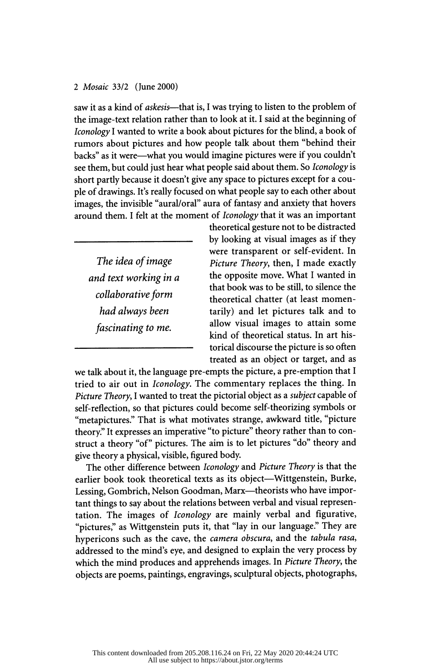saw it as a kind of askesis—that is, I was trying to listen to the problem of the image-text relation rather than to look at it. I said at the beginning of Iconology I wanted to write a book about pictures for the blind, a book of rumors about pictures and how people talk about them "behind their backs" as it were—what you would imagine pictures were if you couldn't see them, but could just hear what people said about them. So *Iconology* is short partly because it doesn't give any space to pictures except for a cou ple of drawings. It's really focused on what people say to each other about images, the invisible "aural/oral" aura of fantasy and anxiety that hovers around them. I felt at the moment of Iconology that it was an important

 The idea of image and text working in a collaborative form had always been fascinating to me.

 theoretical gesture not to be distracted by looking at visual images as if they were transparent or self-evident. In Picture Theory, then, I made exactly the opposite move. What I wanted in that book was to be still, to silence the theoretical chatter (at least momen tarily) and let pictures talk and to allow visual images to attain some kind of theoretical status. In art his torical discourse the picture is so often treated as an object or target, and as

 we talk about it, the language pre-empts the picture, a pre-emption that I tried to air out in Iconology. The commentary replaces the thing. In Picture Theory, I wanted to treat the pictorial object as a subject capable of self-reflection, so that pictures could become self-theorizing symbols or "metapictures." That is what motivates strange, awkward title, "picture theory." It expresses an imperative "to picture" theory rather than to con struct a theory "of" pictures. The aim is to let pictures "do" theory and give theory a physical, visible, figured body.

The other difference between *Iconology* and *Picture Theory* is that the earlier book took theoretical texts as its object—Wittgenstein, Burke, Lessing, Gombrich, Nelson Goodman, Marx-theorists who have impor tant things to say about the relations between verbal and visual represen tation. The images of Iconology are mainly verbal and figurative, "pictures," as Wittgenstein puts it, that "lay in our language." They are hypericons such as the cave, the camera obscura, and the tabula rasa, addressed to the mind's eye, and designed to explain the very process by which the mind produces and apprehends images. In Picture Theory, the objects are poems, paintings, engravings, sculptural objects, photographs,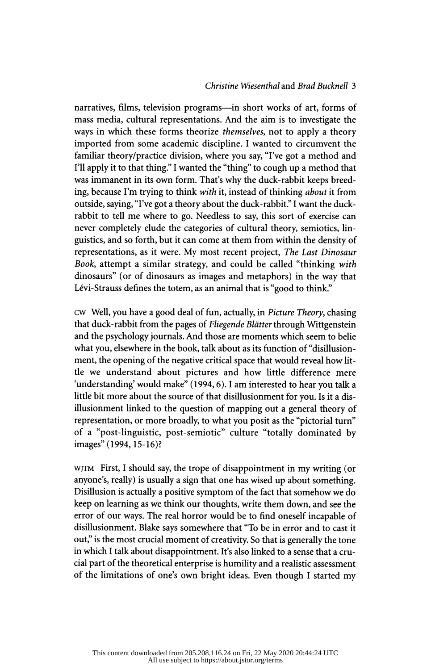# Christine Wiesenthal and Brad Bucknell 3

narratives, films, television programs-in short works of art, forms of mass media, cultural representations. And the aim is to investigate the ways in which these forms theorize *themselves*, not to apply a theory imported from some academic discipline. I wanted to circumvent the familiar theory/practice division, where you say, "I've got a method and I'll apply it to that thing." I wanted the "thing" to cough up a method that was immanent in its own form. That's why the duck-rabbit keeps breed ing, because I'm trying to think with it, instead of thinking about it from outside, saying, "I've got a theory about the duck- rabbit." I want the duck rabbit to tell me where to go. Needless to say, this sort of exercise can never completely elude the categories of cultural theory, semiotics, lin guistics, and so forth, but it can come at them from within the density of representations, as it were. My most recent project, The Last Dinosaur Book, attempt a similar strategy, and could be called "thinking with dinosaurs" (or of dinosaurs as images and metaphors) in the way that Lévi-Strauss defines the totem, as an animal that is "good to think."

 cw Well, you have a good deal of fun, actually, in Picture Theory , chasing that duck-rabbit from the pages of Fliegende Blätter through Wittgenstein and the psychology journals. And those are moments which seem to belie what you, elsewhere in the book, talk about as its function of "disillusion ment, the opening of the negative critical space that would reveal how lit tle we understand about pictures and how little difference mere 'understanding' would make" (1994, 6). I am interested to hear you talk a little bit more about the source of that disillusionment for you. Is it a dis illusionment linked to the question of mapping out a general theory of representation, or more broadly, to what you posit as the "pictorial turn" of a "post-linguistic, post-semiotic" culture "totally dominated by images" (1994, 15-16)?

 wjtm First, I should say, the trope of disappointment in my writing (or anyone's, really) is usually a sign that one has wised up about something. Disillusion is actually a positive symptom of the fact that somehow we do keep on learning as we think our thoughts, write them down, and see the error of our ways. The real horror would be to find oneself incapable of disillusionment. Blake says somewhere that "To be in error and to cast it out," is the most crucial moment of creativity. So that is generally the tone in which I talk about disappointment. It's also linked to a sense that a cru cial part of the theoretical enterprise is humility and a realistic assessment of the limitations of one's own bright ideas. Even though I started my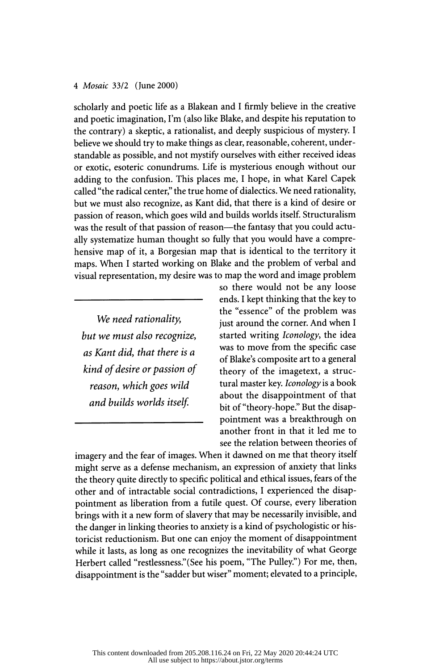scholarly and poetic life as a Blakean and I firmly believe in the creative and poetic imagination, I'm (also like Blake, and despite his reputation to the contrary) a skeptic, a rationalist, and deeply suspicious of mystery. I believe we should try to make things as clear, reasonable, coherent, under standable as possible, and not mystify ourselves with either received ideas or exotic, esoteric conundrums. Life is mysterious enough without our adding to the confusion. This places me, I hope, in what Karel Capek called "the radical center," the true home of dialectics. We need rationality, but we must also recognize, as Kant did, that there is a kind of desire or passion of reason, which goes wild and builds worlds itself. Structuralism was the result of that passion of reason—the fantasy that you could actu ally systematize human thought so fully that you would have a compre hensive map of it, a Borgesian map that is identical to the territory it maps. When I started working on Blake and the problem of verbal and visual representation, my desire was to map the word and image problem

We need rationality, but we must also recognize, as Kant did, that there is a kind of desire or passion of reason, which goes wild and builds worlds itself

 so there would not be any loose ends. I kept thinking that the key to the "essence" of the problem was just around the corner. And when I started writing Iconology, the idea was to move from the specific case of Blake's composite art to a general theory of the imagetext, a struc tural master key. Iconology is a book about the disappointment of that bit of "theory-hope." But the disap pointment was a breakthrough on pointment was a breaktmough on<br>another front in that it led me to see the relation between theories of

 imagery and the fear of images. When it dawned on me that theory itself might serve as a defense mechanism, an expression of anxiety that links the theory quite directly to specific political and ethical issues, fears of the other and of intractable social contradictions, I experienced the disap pointment as liberation from a futile quest. Of course, every liberation brings with it a new form of slavery that may be necessarily invisible, and the danger in linking theories to anxiety is a kind of psychologistic or his toricist reductionism. But one can enjoy the moment of disappointment while it lasts, as long as one recognizes the inevitability of what George Herbert called "restlessness." (See his poem, "The Pulley") For me, then, disappointment is the "sadder but wiser" moment; elevated to a principle,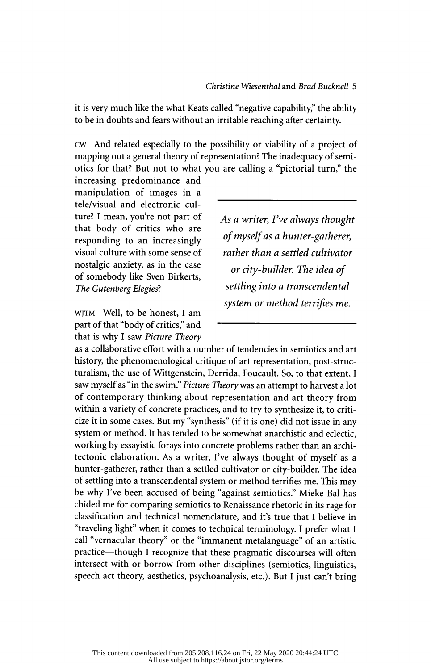it is very much like the what Keats called "negative capability," the ability to be in doubts and fears without an irritable reaching after certainty.

 cw And related especially to the possibility or viability of a project of mapping out a general theory of representation? The inadequacy of semi otics for that? But not to what you are calling a "pictorial turn," the

 increasing predominance and manipulation of images in a tele/visual and electronic cul ture? I mean, you're not part of that body of critics who are responding to an increasingly visual culture with some sense of nostalgic anxiety, as in the case of somebody like Sven Birkerts, The Gutenberg Elegies?

 wjtm Well, to be honest, I am part of that "body of critics," and that is why I saw Picture Theory  As a writer, I've always thought of myself as a hunter-gatherer, rather than a settled cultivator or city-builder. The idea of settling into a transcendental system or method terrifies me.

 as a collaborative effort with a number of tendencies in semiotics and art history, the phenomenological critique of art representation, post-struc turalism, the use of Wittgenstein, Derrida, Foucault. So, to that extent, I saw myself as "in the swim." Picture Theory was an attempt to harvest a lot of contemporary thinking about representation and art theory from within a variety of concrete practices, and to try to synthesize it, to criti cize it in some cases. But my "synthesis" (if it is one) did not issue in any system or method. It has tended to be somewhat anarchistic and eclectic, working by essayistic forays into concrete problems rather than an archi tectonic elaboration. As a writer, I've always thought of myself as a hunter-gatherer, rather than a settled cultivator or city-builder. The idea of settling into a transcendental system or method terrifies me. This may be why I've been accused of being "against semiotics." Mieke Bal has chided me for comparing semiotics to Renaissance rhetoric in its rage for classification and technical nomenclature, and it's true that I believe in "traveling light" when it comes to technical terminology. I prefer what I call "vernacular theory" or the "immanent metalanguage" of an artistic practice-though I recognize that these pragmatic discourses will often intersect with or borrow from other disciplines (semiotics, linguistics, speech act theory, aesthetics, psychoanalysis, etc.). But I just can't bring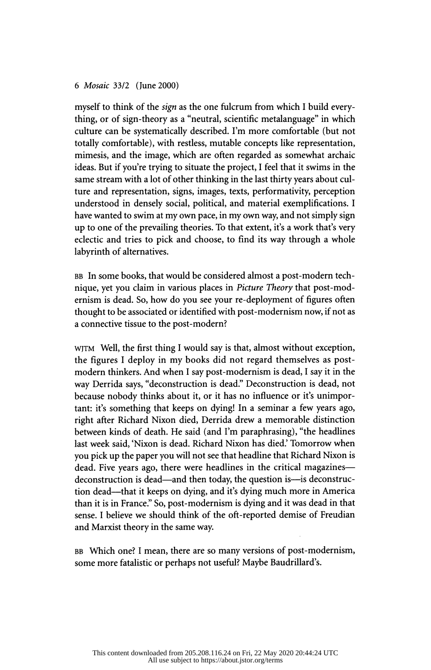myself to think of the sign as the one fulcrum from which I build every thing, or of sign-theory as a "neutral, scientific metalanguage" in which culture can be systematically described. I'm more comfortable (but not totally comfortable), with restless, mutable concepts like representation, mimesis, and the image, which are often regarded as somewhat archaic ideas. But if you're trying to situate the project, I feel that it swims in the same stream with a lot of other thinking in the last thirty years about cul ture and representation, signs, images, texts, performativity, perception understood in densely social, political, and material exemplifications. I have wanted to swim at my own pace, in my own way, and not simply sign up to one of the prevailing theories. To that extent, it's a work that's very eclectic and tries to pick and choose, to find its way through a whole labyrinth of alternatives.

 BB In some books, that would be considered almost a post-modern tech nique, yet you claim in various places in *Picture Theory* that post-mod ernism is dead. So, how do you see your re-deployment of figures often thought to be associated or identified with post-modernism now, if not as a connective tissue to the post-modern?

 wjtm Well, the first thing I would say is that, almost without exception, the figures I deploy in my books did not regard themselves as post modern thinkers. And when I say post-modernism is dead, I say it in the way Derrida says, "deconstruction is dead." Deconstruction is dead, not because nobody thinks about it, or it has no influence or it's unimpor tant: it's something that keeps on dying! In a seminar a few years ago, right after Richard Nixon died, Derrida drew a memorable distinction between kinds of death. He said (and I'm paraphrasing), "the headlines last week said, 'Nixon is dead. Richard Nixon has died.' Tomorrow when you pick up the paper you will not see that headline that Richard Nixon is dead. Five years ago, there were headlines in the critical magazines deconstruction is dead—and then today, the question is—is deconstruction dead—that it keeps on dying, and it's dying much more in America than it is in France." So, post-modernism is dying and it was dead in that sense. I believe we should think of the oft-reported demise of Freudian and Marxist theory in the same way.

 BB Which one? I mean, there are so many versions of post-modernism, some more fatalistic or perhaps not useful? Maybe Baudrillard's.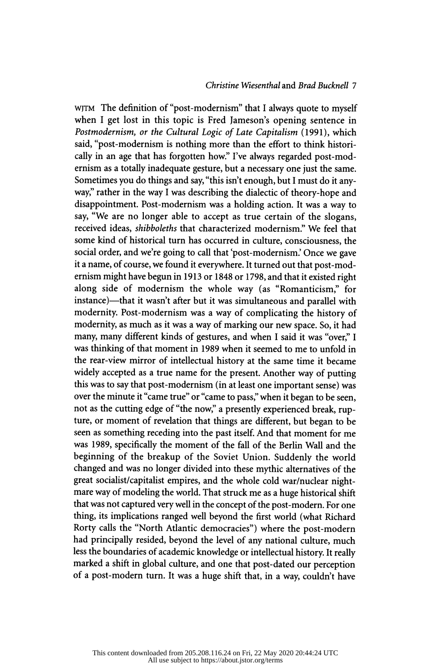## Christine Wiesenthal and Brad Buckneil 7

 wjTM The definition of "post-modernism" that I always quote to myself when I get lost in this topic is Fred Jameson's opening sentence in Postmodernism, or the Cultural Logic of Late Capitalism (1991), which said, "post-modernism is nothing more than the effort to think histori cally in an age that has forgotten how." I've always regarded post-mod ernism as a totally inadequate gesture, but a necessary one just the same. Sometimes you do things and say, "this isn't enough, but I must do it any way," rather in the way I was describing the dialectic of theory-hope and disappointment. Post-modernism was a holding action. It was a way to say, "We are no longer able to accept as true certain of the slogans, received ideas, shibboleths that characterized modernism." We feel that some kind of historical turn has occurred in culture, consciousness, the social order, and we're going to call that 'post-modernism.' Once we gave it a name, of course, we found it everywhere. It turned out that post-mod ernism might have begun in 1913 or 1848 or 1798, and that it existed right along side of modernism the whole way (as "Romanticism," for instance)—that it wasn't after but it was simultaneous and parallel with modernity. Post-modernism was a way of complicating the history of modernity, as much as it was a way of marking our new space. So, it had many, many different kinds of gestures, and when I said it was "over," I was thinking of that moment in 1989 when it seemed to me to unfold in the rear-view mirror of intellectual history at the same time it became widely accepted as a true name for the present. Another way of putting this was to say that post-modernism (in at least one important sense) was over the minute it "came true" or "came to pass," when it began to be seen, not as the cutting edge of "the now," a presently experienced break, rup ture, or moment of revelation that things are different, but began to be seen as something receding into the past itself. And that moment for me was 1989, specifically the moment of the fall of the Berlin Wall and the beginning of the breakup of the Soviet Union. Suddenly the world changed and was no longer divided into these mythic alternatives of the great socialist/capitalist empires, and the whole cold war/nuclear night mare way of modeling the world. That struck me as a huge historical shift that was not captured very well in the concept of the post-modern. For one thing, its implications ranged well beyond the first world (what Richard Rorty calls the "North Atlantic democracies") where the post-modern had principally resided, beyond the level of any national culture, much less the boundaries of academic knowledge or intellectual history. It really marked a shift in global culture, and one that post-dated our perception of a post-modern turn. It was a huge shift that, in a way, couldn't have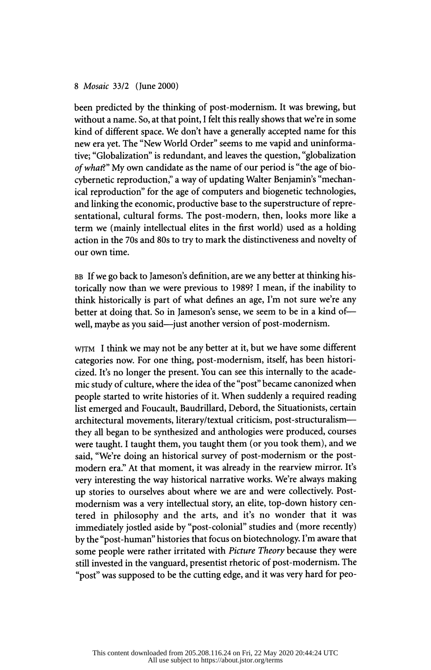been predicted by the thinking of post-modernism. It was brewing, but without a name. So, at that point, I felt this really shows that we're in some kind of different space. We don't have a generally accepted name for this new era yet. The "New World Order" seems to me vapid and uninforma tive; "Globalization" is redundant, and leaves the question, "globalization of what?" My own candidate as the name of our period is "the age of biocybernetic reproduction," a way of updating Walter Benjamin's "mechan ical reproduction" for the age of computers and biogenetic technologies, and linking the economic, productive base to the superstructure of repre sentational, cultural forms. The post-modern, then, looks more like a term we (mainly intellectual elites in the first world) used as a holding action in the 70s and 80s to try to mark the distinctiveness and novelty of our own time.

 BB If we go back to Jameson's definition, are we any better at thinking his torically now than we were previous to 1989? I mean, if the inability to think historically is part of what defines an age, I'm not sure we're any better at doing that. So in Jameson's sense, we seem to be in a kind of well, maybe as you said—just another version of post-modernism.

 wjtm I think we may not be any better at it, but we have some different categories now. For one thing, post-modernism, itself, has been histori cized. It's no longer the present. You can see this internally to the acade mic study of culture, where the idea of the "post" became canonized when people started to write histories of it. When suddenly a required reading list emerged and Foucault, Baudrillard, Debord, the Situationists, certain architectural movements, literary/textual criticism, post-structuralism they all began to be synthesized and anthologies were produced, courses were taught. I taught them, you taught them (or you took them), and we said, "We're doing an historical survey of post-modernism or the post modern era." At that moment, it was already in the rearview mirror. It's very interesting the way historical narrative works. We're always making up stories to ourselves about where we are and were collectively. Post modernism was a very intellectual story, an elite, top-down history cen tered in philosophy and the arts, and it's no wonder that it was immediately jostled aside by "post-colonial" studies and (more recently) by the "post-human" histories that focus on biotechnology. I'm aware that some people were rather irritated with Picture Theory because they were still invested in the vanguard, presentisi rhetoric of post-modernism. The "post" was supposed to be the cutting edge, and it was very hard for peo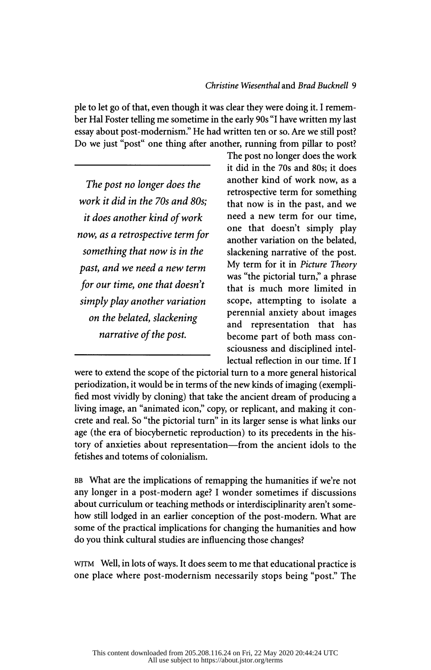ple to let go of that, even though it was clear they were doing it. I remem ber Hal Foster telling me sometime in the early 90s "I have written my last essay about post-modernism." He had written ten or so. Are we still post? Do we just "post" one thing after another, running from pillar to post?

 The post no longer does the work it did in the 70s and 80s: it does another kind of work now, as a retrospective term for something that now is in the past, and we need a new term for our time, one that doesn't simply play another variation on the belated, slackening narrative of the post.

 The post no longer does the work it did in the 70s and 80s; it does another kind of work now, as a retrospective term for something that now is in the past, and we need a new term for our time, one that doesn't simply play another variation on the belated, slackening narrative of the post. My term for it in Picture Theory was "the pictorial turn," a phrase that is much more limited in scope, attempting to isolate a perennial anxiety about images and representation that has become part of both mass con sciousness and disciplined intel lectual reflection in our time. If I

 were to extend the scope of the pictorial turn to a more general historical periodization, it would be in terms of the new kinds of imaging (exempli fied most vividly by cloning) that take the ancient dream of producing a living image, an "animated icon," copy, or replicant, and making it con crete and real. So "the pictorial turn" in its larger sense is what links our age (the era of biocybernetic reproduction) to its precedents in the his tory of anxieties about representation—from the ancient idols to the fetishes and totems of colonialism.

BB What are the implications of remapping the humanities if we're not any longer in a post-modern age? I wonder sometimes if discussions about curriculum or teaching methods or interdisciplinarity aren't some how still lodged in an earlier conception of the post-modern. What are some of the practical implications for changing the humanities and how do you think cultural studies are influencing those changes?

 wjtm Well, in lots of ways. It does seem to me that educational practice is one place where post-modernism necessarily stops being "post." The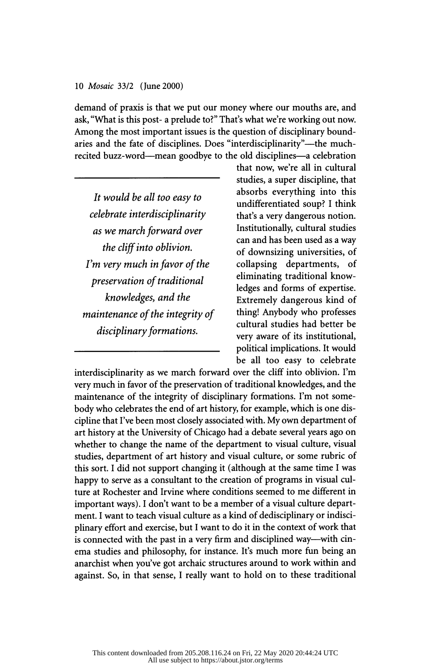demand of praxis is that we put our money where our mouths are, and ask, "What is this post- a prelude to?" That's what we're working out now. Among the most important issues is the question of disciplinary bound aries and the fate of disciplines. Does "interdisciplinarity"--- the muchrecited buzz-word-mean goodbye to the old disciplines-a celebration

 It would be all too easy to celebrate interdisciplinarity as we march forward over the cliff into oblivion. I'm very much in favor of the preservation of traditional knowledges, and the maintenance of the integrity of disciplinary formations.

 that now, we're all in cultural studies, a super discipline, that absorbs everything into this undifferentiated soup? I think that's a very dangerous notion. Institutionally, cultural studies can and has been used as a way of downsizing universities, of<br>collapsing departments, of collapsing departments, eliminating traditional know ledges and forms of expertise. Extremely dangerous kind of thing! Anybody who professes cultural studies had better be very aware of its institutional, political implications. It would be all too easy to celebrate

 interdisciplinarity as we march forward over the cliff into oblivion. I'm very much in favor of the preservation of traditional knowledges, and the maintenance of the integrity of disciplinary formations. I'm not some body who celebrates the end of art history, for example, which is one dis cipline that I've been most closely associated with. My own department of art history at the University of Chicago had a debate several years ago on whether to change the name of the department to visual culture, visual studies, department of art history and visual culture, or some rubric of this sort. I did not support changing it (although at the same time I was happy to serve as a consultant to the creation of programs in visual cul ture at Rochester and Irvine where conditions seemed to me different in important ways). I don't want to be a member of a visual culture depart ment. I want to teach visual culture as a kind of dedisciplinary or indisci plinary effort and exercise, but I want to do it in the context of work that is connected with the past in a very firm and disciplined way—with cin ema studies and philosophy, for instance. It's much more fun being an anarchist when you've got archaic structures around to work within and against. So, in that sense, I really want to hold on to these traditional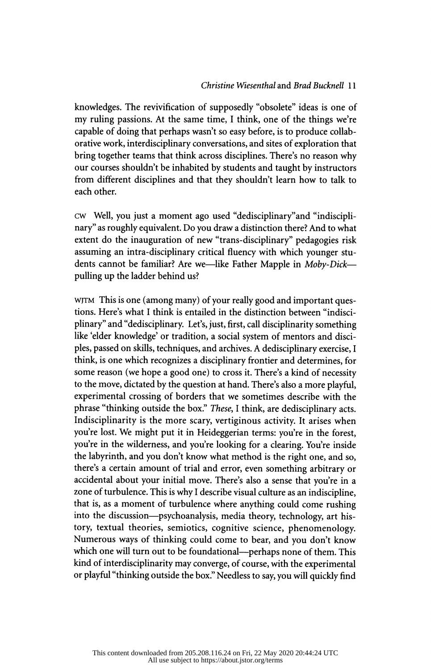## Christine Wiesenthal and Brad Buckneil 1 1

 knowledges. The revivification of supposedly "obsolete" ideas is one of my ruling passions. At the same time, I think, one of the things we're capable of doing that perhaps wasn't so easy before, is to produce collab orative work, interdisciplinary conversations, and sites of exploration that bring together teams that think across disciplines. There's no reason why our courses shouldn't be inhabited by students and taught by instructors from different disciplines and that they shouldn't learn how to talk to each other.

 cw Well, you just a moment ago used "dedisciplinary"and "indiscipli nary" as roughly equivalent. Do you draw a distinction there? And to what extent do the inauguration of new "trans-disciplinary" pedagogies risk assuming an intra-disciplinary critical fluency with which younger stu dents cannot be familiar? Are we—like Father Mapple in Moby-Dick pulling up the ladder behind us?

 wjtm This is one (among many) of your really good and important ques tions. Here's what I think is entailed in the distinction between "indisci plinary" and "dedisciplinary. Let's, just, first, call disciplinarity something like 'elder knowledge' or tradition, a social system of mentors and disci ples, passed on skills, techniques, and archives. A dedisciplinary exercise, I think, is one which recognizes a disciplinary frontier and determines, for some reason (we hope a good one) to cross it. There's a kind of necessity to the move, dictated by the question at hand. There's also a more playful, experimental crossing of borders that we sometimes describe with the phrase "thinking outside the box." These, I think, are dedisciplinary acts. Indisciplinarity is the more scary, vertiginous activity. It arises when you're lost. We might put it in Heideggerian terms: you're in the forest, you're in the wilderness, and you're looking for a clearing. You're inside the labyrinth, and you don't know what method is the right one, and so, there's a certain amount of trial and error, even something arbitrary or accidental about your initial move. There's also a sense that you're in a zone of turbulence. This is why I describe visual culture as an indiscipline, that is, as a moment of turbulence where anything could come rushing into the discussion-psychoanalysis, media theory, technology, art his tory, textual theories, semiotics, cognitive science, phenomenology. Numerous ways of thinking could come to bear, and you don't know which one will turn out to be foundational--perhaps none of them. This kind of interdisciplinarity may converge, of course, with the experimental or playful "thinking outside the box." Needless to say, you will quickly find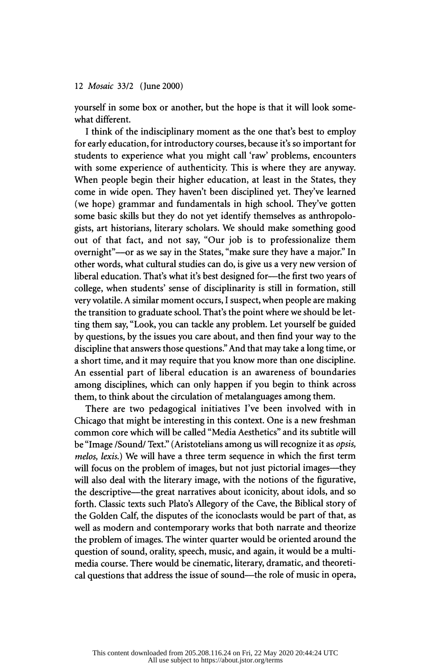yourself in some box or another, but the hope is that it will look some what different.

 I think of the indisciplinary moment as the one that's best to employ for early education, for introductory courses, because it's so important for students to experience what you might call 'raw' problems, encounters with some experience of authenticity. This is where they are anyway. When people begin their higher education, at least in the States, they come in wide open. They haven't been disciplined yet. They've learned (we hope) grammar and fundamentals in high school. They've gotten some basic skills but they do not yet identify themselves as anthropolo gists, art historians, literary scholars. We should make something good out of that fact, and not say, "Our job is to professionalize them overnight"—or as we say in the States, "make sure they have a major." In other words, what cultural studies can do, is give us a very new version of liberal education. That's what it's best designed for—the first two years of college, when students' sense of disciplinarity is still in formation, still very volatile. A similar moment occurs, I suspect, when people are making the transition to graduate school. That's the point where we should be let ting them say, "Look, you can tackle any problem. Let yourself be guided by questions, by the issues you care about, and then find your way to the discipline that answers those questions." And that may take a long time, or a short time, and it may require that you know more than one discipline. An essential part of liberal education is an awareness of boundaries among disciplines, which can only happen if you begin to think across them, to think about the circulation of metalanguages among them.

 There are two pedagogical initiatives I've been involved with in Chicago that might be interesting in this context. One is a new freshman common core which will be called "Media Aesthetics" and its subtitle will be "Image /Sound/ Text." (Aristotelians among us will recognize it as opsis, melos, lexis.) We will have a three term sequence in which the first term will focus on the problem of images, but not just pictorial images—they will also deal with the literary image, with the notions of the figurative, the descriptive—the great narratives about iconicity, about idols, and so forth. Classic texts such Plato's Allegory of the Cave, the Biblical story of the Golden Calf, the disputes of the iconoclasts would be part of that, as well as modern and contemporary works that both narrate and theorize the problem of images. The winter quarter would be oriented around the question of sound, orality, speech, music, and again, it would be a multi media course. There would be cinematic, literary, dramatic, and theoreti cal questions that address the issue of sound—the role of music in opera,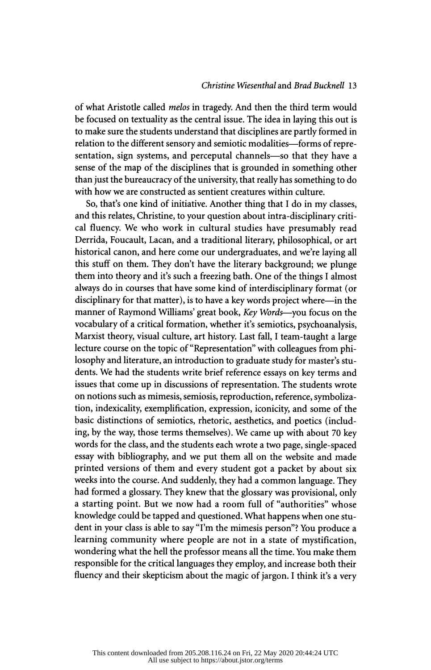#### Christine Wiesenthal and Brad Buckneil 13

 of what Aristotle called melos in tragedy. And then the third term would be focused on textuality as the central issue. The idea in laying this out is to make sure the students understand that disciplines are partly formed in relation to the different sensory and semiotic modalities—forms of representation, sign systems, and perceputal channels—so that they have a sense of the map of the disciplines that is grounded in something other than just the bureaucracy of the university, that really has something to do with how we are constructed as sentient creatures within culture.

 So, thaťs one kind of initiative. Another thing that I do in my classes, and this relates, Christine, to your question about intra-disciplinary criti cal fluency. We who work in cultural studies have presumably read Derrida, Foucault, Lacan, and a traditional literary, philosophical, or art historical canon, and here come our undergraduates, and we're laving all this stuff on them. They don't have the literary background; we plunge them into theory and it's such a freezing bath. One of the things I almost always do in courses that have some kind of interdisciplinary format (or disciplinary for that matter), is to have a key words project where-in the manner of Raymond Williams' great book, Key Words—you focus on the vocabulary of a critical formation, whether it's semiotics, psychoanalysis, Marxist theory, visual culture, art history. Last fall, I team-taught a large lecture course on the topic of "Representation" with colleagues from phi losophy and literature, an introduction to graduate study for master's stu dents. We had the students write brief reference essays on key terms and issues that come up in discussions of representation. The students wrote on notions such as mimesis, semiosis, reproduction, reference, symboliza tion, indexicality, exemplification, expression, iconicity, and some of the basic distinctions of semiotics, rhetoric, aesthetics, and poetics (includ ing, by the way, those terms themselves). We came up with about 70 key words for the class, and the students each wrote a two page, single- spaced essay with bibliography, and we put them all on the website and made printed versions of them and every student got a packet by about six weeks into the course. And suddenly, they had a common language. They had formed a glossary. They knew that the glossary was provisional, only a starting point. But we now had a room full of "authorities" whose knowledge could be tapped and questioned. What happens when one stu dent in your class is able to say "I'm the mimesis person"? You produce a learning community where people are not in a state of mystification, wondering what the hell the professor means all the time. You make them responsible for the critical languages they employ, and increase both their fluency and their skepticism about the magic of jargon. I think it's a very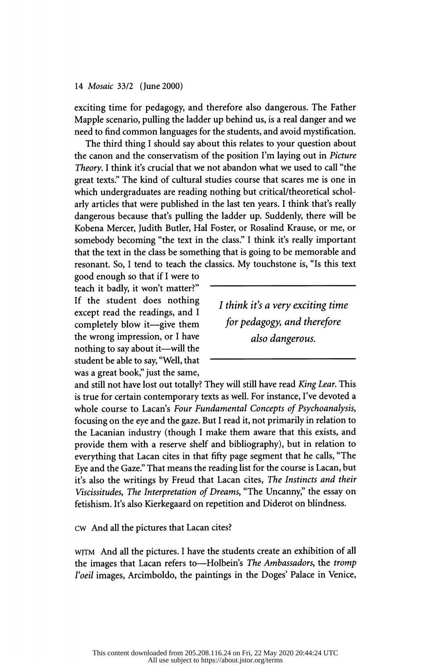exciting time for pedagogy, and therefore also dangerous. The Father Mapple scenario, pulling the ladder up behind us, is a real danger and we need to find common languages for the students, and avoid mystification.

 The third thing I should say about this relates to your question about the canon and the conservatism of the position I'm laying out in Picture Theory. I think it's crucial that we not abandon what we used to call "the great texts." The kind of cultural studies course that scares me is one in which undergraduates are reading nothing but critical/theoretical schol arly articles that were published in the last ten years. I think that's really dangerous because that's pulling the ladder up. Suddenly, there will be Kobena Mercer, Judith Butler, Hal Foster, or Rosalind Krause, or me, or somebody becoming "the text in the class." I think it's really important that the text in the class be something that is going to be memorable and resonant. So, I tend to teach the classics. My touchstone is, "Is this text

 good enough so that if I were to teach it badly, it won't matter?" If the student does nothing except read the readings, and I completely blow it-give them the wrong impression, or I have nothing to say about it—will the student be able to say, "Well, that was a great book," just the same,

 I think iťs a very exciting time for pedagogy, and therefore also dangerous.

and still not have lost out totally? They will still have read King Lear. This is true for certain contemporary texts as well. For instance, I've devoted a whole course to Lacan's Four Fundamental Concepts of Psychoanalysis, focusing on the eye and the gaze. But I read it, not primarily in relation to the Lacanian industry (though I make them aware that this exists, and provide them with a reserve shelf and bibliography), but in relation to everything that Lacan cites in that fifty page segment that he calls, "The Eye and the Gaze." That means the reading list for the course is Lacan, but it's also the writings by Freud that Lacan cites, The Instincts and their Viscissitudes, The Interpretation of Dreams, "The Uncanny," the essay on fetishism. It's also Kierkegaard on repetition and Diderot on blindness.

cw And all the pictures that Lacan cites?

 wjtm And all the pictures. I have the students create an exhibition of all the images that Lacan refers to-Holbein's The Ambassadors, the tromp l'oeil images, Arcimboldo, the paintings in the Doges' Palace in Venice,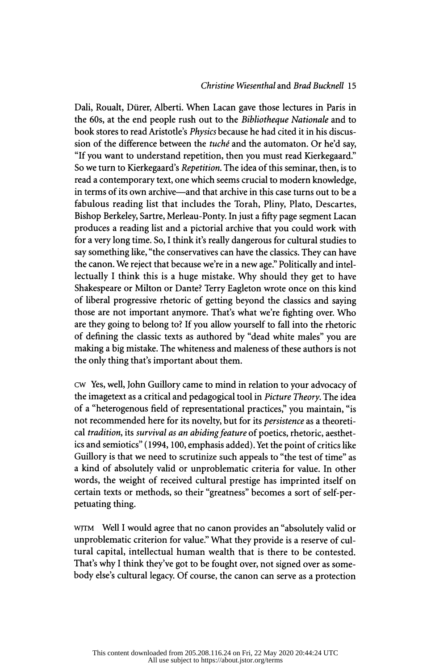# Christine Wiesenthal and Brad Bucknell 15

Dali, Roualt, Dürer, Alberti. When Lacan gave those lectures in Paris in the 60s, at the end people rush out to the Bibliotheque Nationale and to book stores to read Aristotle's Physics because he had cited it in his discus sion of the difference between the tuché and the automaton. Or he'd say, "If you want to understand repetition, then you must read Kierkegaard." So we turn to Kierkegaard's Repetition. The idea of this seminar, then, is to read a contemporary text, one which seems crucial to modern knowledge, in terms of its own archive—and that archive in this case turns out to be a fabulous reading list that includes the Torah, Pliny, Plato, Descartes, Bishop Berkeley, Sartre, Merleau-Ponty. In just a fifty page segment Lacan produces a reading list and a pictorial archive that you could work with for a very long time. So, I think it's really dangerous for cultural studies to say something like, "the conservatives can have the classics. They can have the canon. We reject that because we're in a new age." Politically and intel lectually I think this is a huge mistake. Why should they get to have Shakespeare or Milton or Dante? Terry Eagleton wrote once on this kind of liberal progressive rhetoric of getting beyond the classics and saying those are not important anymore. That's what we're fighting over. Who are they going to belong to? If you allow yourself to fall into the rhetoric of defining the classic texts as authored by "dead white males" you are making a big mistake. The whiteness and maleness of these authors is not the only thing that's important about them.

 cw Yes, well, John Guillory came to mind in relation to your advocacy of the imagetext as a critical and pedagogical tool in Picture Theory. The idea of a "heterogenous field of representational practices," you maintain, "is not recommended here for its novelty, but for its persistence as a theoreti cal tradition, its survival as an abiding feature of poetics, rhetoric, aesthet ics and semiotics" (1994, 100, emphasis added). Yet the point of critics like Guillory is that we need to scrutinize such appeals to "the test of time" as a kind of absolutely valid or unproblematic criteria for value. In other words, the weight of received cultural prestige has imprinted itself on certain texts or methods, so their "greatness" becomes a sort of self-per petuating thing.

 wjtm Well I would agree that no canon provides an "absolutely valid or unproblematic criterion for value." What they provide is a reserve of cul tural capital, intellectual human wealth that is there to be contested. That's why I think they've got to be fought over, not signed over as some body else's cultural legacy. Of course, the canon can serve as a protection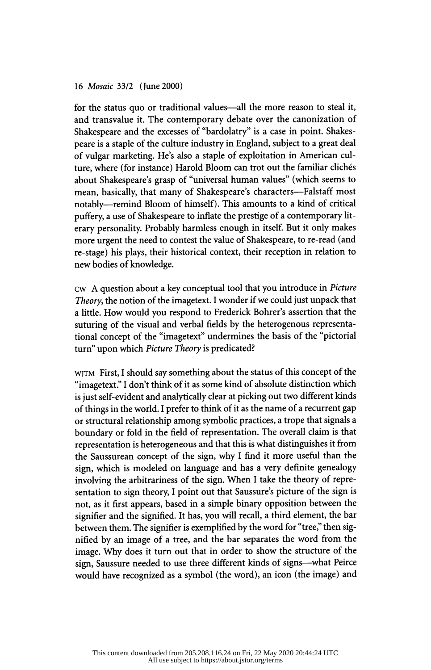for the status quo or traditional values—all the more reason to steal it, and transvalue it. The contemporary debate over the canonization of Shakespeare and the excesses of "bardolatry" is a case in point. Shakes peare is a staple of the culture industry in England, subject to a great deal of vulgar marketing. He's also a staple of exploitation in American cul ture, where (for instance) Harold Bloom can trot out the familiar clichés about Shakespeare's grasp of "universal human values" (which seems to mean, basically, that many of Shakespeare's characters-Falstaff most notably-remind Bloom of himself). This amounts to a kind of critical puffery, a use of Shakespeare to inflate the prestige of a contemporary lit erary personality. Probably harmless enough in itself. But it only makes more urgent the need to contest the value of Shakespeare, to re-read (and re-stage) his plays, their historical context, their reception in relation to new bodies of knowledge.

 cw A question about a key conceptual tool that you introduce in Picture Theory , the notion of the imagetext. I wonder if we could just unpack that a little. How would you respond to Frederick Bohrer's assertion that the suturing of the visual and verbal fields by the heterogenous representa tional concept of the "imagetext" undermines the basis of the "pictorial turn" upon which Picture Theory is predicated?

 wjtm First, I should say something about the status of this concept of the "imagetext." I don't think of it as some kind of absolute distinction which is just self-evident and analytically clear at picking out two different kinds of things in the world. I prefer to think of it as the name of a recurrent gap or structural relationship among symbolic practices, a trope that signals a boundary or fold in the field of representation. The overall claim is that representation is heterogeneous and that this is what distinguishes it from the Saussurean concept of the sign, why I find it more useful than the sign, which is modeled on language and has a very definite genealogy involving the arbitrariness of the sign. When I take the theory of repre sentation to sign theory, I point out that Saussure's picture of the sign is not, as it first appears, based in a simple binary opposition between the signifier and the signified. It has, you will recall, a third element, the bar between them. The signifier is exemplified by the word for "tree," then sig nified by an image of a tree, and the bar separates the word from the image. Why does it turn out that in order to show the structure of the sign, Saussure needed to use three different kinds of signs--what Peirce would have recognized as a symbol (the word), an icon (the image) and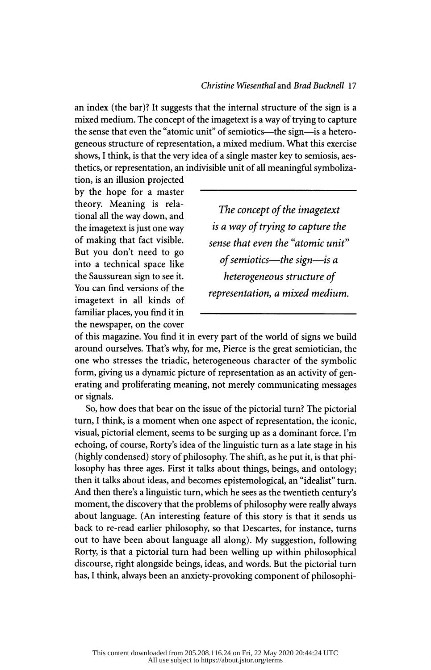an index (the bar)? It suggests that the internal structure of the sign is a mixed medium. The concept of the imagetext is a way of trying to capture the sense that even the "atomic unit" of semiotics—the sign—is a hetero geneous structure of representation, a mixed medium. What this exercise shows, I think, is that the very idea of a single master key to semiosis, aes thetics, or representation, an indivisible unit of all meaningful symboliza-

 tion, is an illusion projected by the hope for a master theory. Meaning is rela tional all the way down, and the imagetext is just one way of making that fact visible. But you don't need to go into a technical space like the Saussurean sign to see it. You can find versions of the imagetext in all kinds of familiar places, you find it in the newspaper, on the cover

 The concept of the imagetext is a way of trying to capture the sense that even the "atomic unit" of semiotics—the sign—is a heterogeneous structure of representation, a mixed medium.

 of this magazine. You find it in every part of the world of signs we build around ourselves. Thaťs why, for me, Pierce is the great semiotician, the one who stresses the triadic, heterogeneous character of the symbolic form, giving us a dynamic picture of representation as an activity of gen erating and proliferating meaning, not merely communicating messages or signals.

 So, how does that bear on the issue of the pictorial turn? The pictorial turn, I think, is a moment when one aspect of representation, the iconic, visual, pictorial element, seems to be surging up as a dominant force. I'm echoing, of course, Rorty's idea of the linguistic turn as a late stage in his (highly condensed) story of philosophy. The shift, as he put it, is that phi losophy has three ages. First it talks about things, beings, and ontology; then it talks about ideas, and becomes epistemological, an "idealist" turn. And then there's a linguistic turn, which he sees as the twentieth century's moment, the discovery that the problems of philosophy were really always about language. (An interesting feature of this story is that it sends us back to re-read earlier philosophy, so that Descartes, for instance, turns out to have been about language all along). My suggestion, following Rorty, is that a pictorial turn had been welling up within philosophical discourse, right alongside beings, ideas, and words. But the pictorial turn has, I think, always been an anxiety-provoking component of philosophi-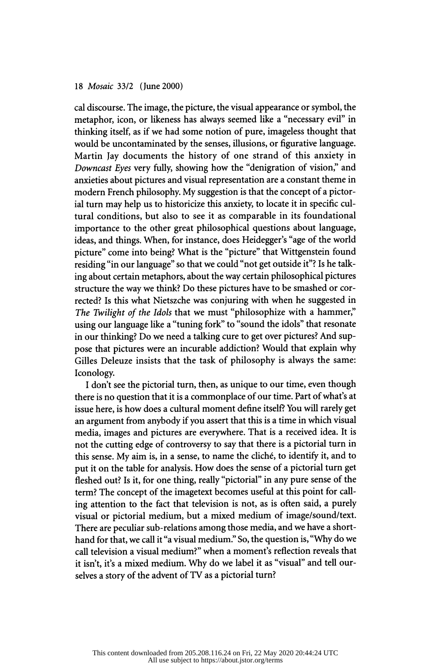cal discourse. The image, the picture, the visual appearance or symbol, the metaphor, icon, or likeness has always seemed like a "necessary evil" in thinking itself, as if we had some notion of pure, imageless thought that would be uncontaminated by the senses, illusions, or figurative language. Martin Jay documents the history of one strand of this anxiety in Downcast Eyes very fully, showing how the "denigration of vision," and anxieties about pictures and visual representation are a constant theme in modern French philosophy. My suggestion is that the concept of a pictor ial turn may help us to historicize this anxiety, to locate it in specific cul tural conditions, but also to see it as comparable in its foundational importance to the other great philosophical questions about language, ideas, and things. When, for instance, does Heidegger's "age of the world picture" come into being? What is the "picture" that Wittgenstein found residing "in our language" so that we could "not get outside it"? Is he talk ing about certain metaphors, about the way certain philosophical pictures structure the way we think? Do these pictures have to be smashed or cor rected? Is this what Nietszche was conjuring with when he suggested in The Twilight of the Idols that we must "philosophize with a hammer," using our language like a "tuning fork" to "sound the idols" that resonate in our thinking? Do we need a talking cure to get over pictures? And sup pose that pictures were an incurable addiction? Would that explain why Gilles Deleuze insists that the task of philosophy is always the same: Iconology.

I don't see the pictorial turn, then, as unique to our time, even though there is no question that it is a commonplace of our time. Part of what's at issue here, is how does a cultural moment define itself? You will rarely get an argument from anybody if you assert that this is a time in which visual media, images and pictures are everywhere. That is a received idea. It is not the cutting edge of controversy to say that there is a pictorial turn in this sense. My aim is, in a sense, to name the cliché, to identify it, and to put it on the table for analysis. How does the sense of a pictorial turn get fleshed out? Is it, for one thing, really "pictorial" in any pure sense of the term? The concept of the imagetext becomes useful at this point for call ing attention to the fact that television is not, as is often said, a purely visual or pictorial medium, but a mixed medium of image/sound/text. There are peculiar sub-relations among those media, and we have a short hand for that, we call it "a visual medium." So, the question is, "Why do we call television a visual medium?" when a moment's reflection reveals that it isn't, it's a mixed medium. Why do we label it as "visual" and tell our selves a story of the advent of TV as a pictorial turn?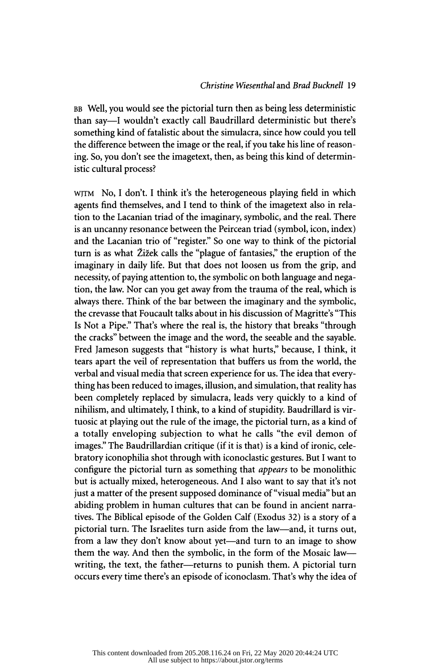BB Well, you would see the pictorial turn then as being less deterministic than say—I wouldn't exactly call Baudrillard deterministic but there's something kind of fatalistic about the simulacra, since how could you tell the difference between the image or the real, if you take his line of reason ing. So, you don't see the imagetext, then, as being this kind of deterministic cultural process?

WJTM No, I don't. I think it's the heterogeneous playing field in which agents find themselves, and I tend to think of the imagetext also in rela tion to the Lacanian triad of the imaginary, symbolic, and the real. There is an uncanny resonance between the Peircean triad (symbol, icon, index) and the Lacanian trio of "register." So one way to think of the pictorial turn is as what Žižek calls the "plague of fantasies," the eruption of the imaginary in daily life. But that does not loosen us from the grip, and necessity, of paying attention to, the symbolic on both language and nega tion, the law. Nor can you get away from the trauma of the real, which is always there. Think of the bar between the imaginary and the symbolic, the crevasse that Foucault talks about in his discussion of Magritte's "This Is Not a Pipe." Thaťs where the real is, the history that breaks "through the cracks" between the image and the word, the seeable and the sayable. Fred Jameson suggests that "history is what hurts," because, I think, it tears apart the veil of representation that buffers us from the world, the verbal and visual media that screen experience for us. The idea that every thing has been reduced to images, illusion, and simulation, that reality has been completely replaced by simulacra, leads very quickly to a kind of nihilism, and ultimately, I think, to a kind of stupidity. Baudrillard is vir tuosic at playing out the rule of the image, the pictorial turn, as a kind of a totally enveloping subjection to what he calls "the evil demon of images." The Baudrillardian critique (if it is that) is a kind of ironic, cele bratory iconophilia shot through with iconoclastic gestures. But I want to configure the pictorial turn as something that appears to be monolithic but is actually mixed, heterogeneous. And I also want to say that it's not just a matter of the present supposed dominance of "visual media" but an abiding problem in human cultures that can be found in ancient narra tives. The Biblical episode of the Golden Calf (Exodus 32) is a story of a pictorial turn. The Israelites turn aside from the law—and, it turns out, from a law they don't know about yet—and turn to an image to show them the way. And then the symbolic, in the form of the Mosaic lawwriting, the text, the father-returns to punish them. A pictorial turn occurs every time there's an episode of iconoclasm. That's why the idea of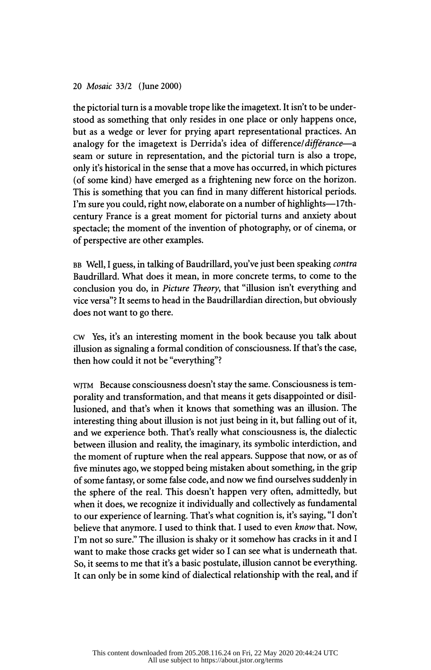the pictorial turn is a movable trope like the imagetext. It isn't to be under stood as something that only resides in one place or only happens once, but as a wedge or lever for prying apart representational practices. An analogy for the imagetext is Derrida's idea of difference/différance—a seam or suture in representation, and the pictorial turn is also a trope, only it's historical in the sense that a move has occurred, in which pictures (of some kind) have emerged as a frightening new force on the horizon. This is something that you can find in many different historical periods. I'm sure you could, right now, elaborate on a number of highlights-17th century France is a great moment for pictorial turns and anxiety about spectacle; the moment of the invention of photography, or of cinema, or of perspective are other examples.

BB Well, I guess, in talking of Baudrillard, you've just been speaking contra Baudrillard. What does it mean, in more concrete terms, to come to the conclusion you do, in Picture Theory, that "illusion isn't everything and vice versa"? It seems to head in the Baudrillardian direction, but obviously does not want to go there.

 cw Yes, it's an interesting moment in the book because you talk about illusion as signaling a formal condition of consciousness. If that's the case, then how could it not be "everything"?

 wjtm Because consciousness doesn't stay the same. Consciousness is tem porality and transformation, and that means it gets disappointed or disil lusioned, and that's when it knows that something was an illusion. The interesting thing about illusion is not just being in it, but falling out of it, and we experience both. That's really what consciousness is, the dialectic between illusion and reality, the imaginary, its symbolic interdiction, and the moment of rupture when the real appears. Suppose that now, or as of five minutes ago, we stopped being mistaken about something, in the grip of some fantasy, or some false code, and now we find ourselves suddenly in the sphere of the real. This doesn't happen very often, admittedly, but when it does, we recognize it individually and collectively as fundamental to our experience of learning. That's what cognition is, it's saying, "I don't believe that anymore. I used to think that. I used to even know that. Now, I'm not so sure." The illusion is shaky or it somehow has cracks in it and I want to make those cracks get wider so I can see what is underneath that. So, it seems to me that it's a basic postulate, illusion cannot be everything. It can only be in some kind of dialectical relationship with the real, and if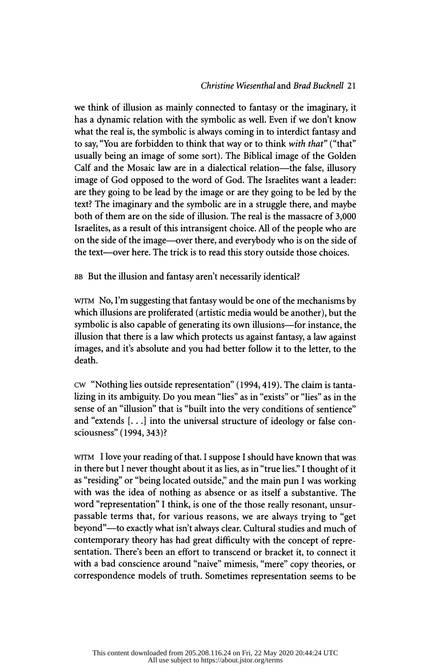# Christine Wiesenthal and Brad Buckneil 21

 we think of illusion as mainly connected to fantasy or the imaginary, it has a dynamic relation with the symbolic as well. Even if we don't know what the real is, the symbolic is always coming in to interdict fantasy and to say, "You are forbidden to think that way or to think with that" ("that" usually being an image of some sort). The Biblical image of the Golden Calf and the Mosaic law are in a dialectical relation—the false, illusory image of God opposed to the word of God. The Israelites want a leader: are they going to be lead by the image or are they going to be led by the text? The imaginary and the symbolic are in a struggle there, and maybe both of them are on the side of illusion. The real is the massacre of 3,000 Israelites, as a result of this intransigent choice. All of the people who are on the side of the image—over there, and everybody who is on the side of the text—over here. The trick is to read this story outside those choices.

BB But the illusion and fantasy aren't necessarily identical?

 wjtm No, I'm suggesting that fantasy would be one of the mechanisms by which illusions are proliferated (artistic media would be another), but the symbolic is also capable of generating its own illusions-for instance, the illusion that there is a law which protects us against fantasy, a law against images, and it's absolute and you had better follow it to the letter, to the death.

 cw "Nothing lies outside representation" (1994, 419). The claim is tanta lizing in its ambiguity. Do you mean "lies" as in "exists" or "lies" as in the sense of an "illusion" that is "built into the very conditions of sentience" and "extends [. . .] into the universal structure of ideology or false con sciousness" (1994, 343)?

 wjtm I love your reading of that. I suppose I should have known that was in there but I never thought about it as lies, as in "true lies." I thought of it as "residing" or "being located outside," and the main pun I was working with was the idea of nothing as absence or as itself a substantive. The word "representation" I think, is one of the those really resonant, unsur passable terms that, for various reasons, we are always trying to "get beyond"—to exactly what isn't always clear. Cultural studies and much of contemporary theory has had great difficulty with the concept of repre sentation. There's been an effort to transcend or bracket it, to connect it with a bad conscience around "naive" mimesis, "mere" copy theories, or correspondence models of truth. Sometimes representation seems to be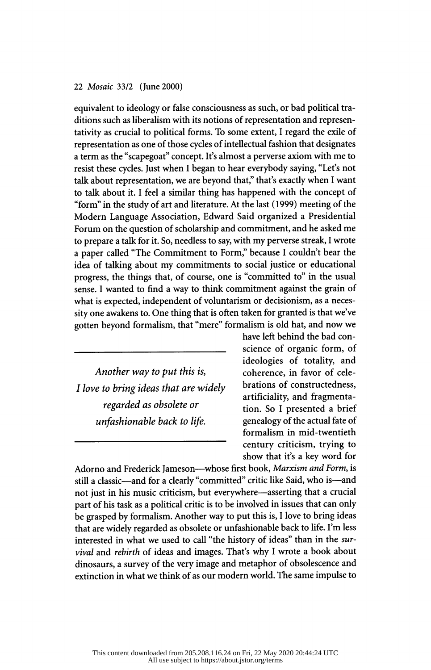equivalent to ideology or false consciousness as such, or bad political tra ditions such as liberalism with its notions of representation and represen tativity as crucial to political forms. To some extent, I regard the exile of representation as one of those cycles of intellectual fashion that designates a term as the "scapegoat" concept. It's almost a perverse axiom with me to resist these cycles. Just when I began to hear everybody saying, "Let's not talk about representation, we are beyond that," that's exactly when I want to talk about it. I feel a similar thing has happened with the concept of "form" in the study of art and literature. At the last (1999) meeting of the Modern Language Association, Edward Said organized a Presidential Forum on the question of scholarship and commitment, and he asked me to prepare a talk for it. So, needless to say, with my perverse streak, I wrote a paper called "The Commitment to Form," because I couldn't bear the idea of talking about my commitments to social justice or educational progress, the things that, of course, one is "committed to" in the usual sense. I wanted to find a way to think commitment against the grain of what is expected, independent of voluntarism or decisionism, as a neces sity one awakens to. One thing that is often taken for granted is that we've gotten beyond formalism, that "mere" formalism is old hat, and now we

 Another way to put this is, I love to bring ideas that are widely regarded as obsolete or unfashionable back to life.

 have left behind the bad con science of organic form, of ideologies of totality, and coherence, in favor of cele brations of constructedness, artificiality, and fragmenta tion. So I presented a brief genealogy of the actual fate of formalism in mid-twentieth century criticism, trying to show that it's a key word for

Adorno and Frederick Jameson-whose first book, Marxism and Form, is still a classic-and for a clearly "committed" critic like Said, who is-and not just in his music criticism, but everywhere—asserting that a crucial part of his task as a political critic is to be involved in issues that can only be grasped by formalism. Another way to put this is, I love to bring ideas that are widely regarded as obsolete or unfashionable back to life. I'm less interested in what we used to call "the history of ideas" than in the sur vival and rebirth of ideas and images. That's why I wrote a book about dinosaurs, a survey of the very image and metaphor of obsolescence and extinction in what we think of as our modern world. The same impulse to